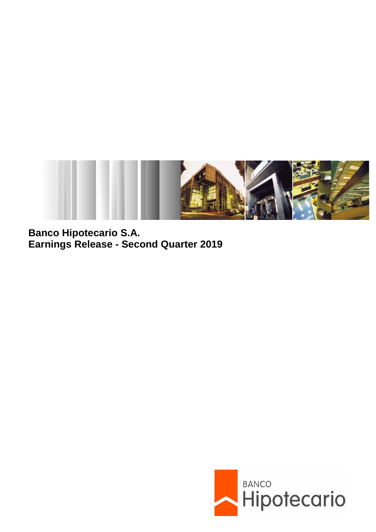

**Banco Hipotecario S.A. Earnings Release - Second Quarter 2019**

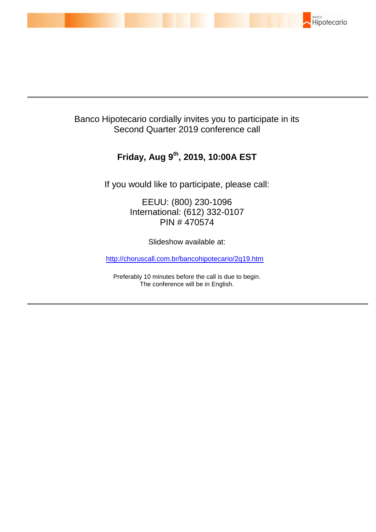

# Banco Hipotecario cordially invites you to participate in its Second Quarter 2019 conference call

# **Friday, Aug 9 th , 2019, 10:00A EST**

If you would like to participate, please call:

EEUU: (800) 230-1096 International: (612) 332-0107 PIN # 470574

Slideshow available at:

[http://choruscall.com.br/bancohipotecario/2q19.htm](https://nam03.safelinks.protection.outlook.com/?url=http%3A%2F%2Fchoruscall.com.br%2Fbancohipotecario%2F2q19.htm&data=02%7C01%7Cdaniela.chuman%40prnewswire.com.br%7Cb5866dc80f8847f5a16508d719d3a93d%7C887bf9ee3c824b88bcb280d5e169b99b%7C1%7C0%7C637006269202369258&sdata=mb7Wa7qeoms3N%2B3S%2B%2FxAZHwthlSgESQ3PUkz7Tc8mdU%3D&reserved=0)

Preferably 10 minutes before the call is due to begin. The conference will be in English.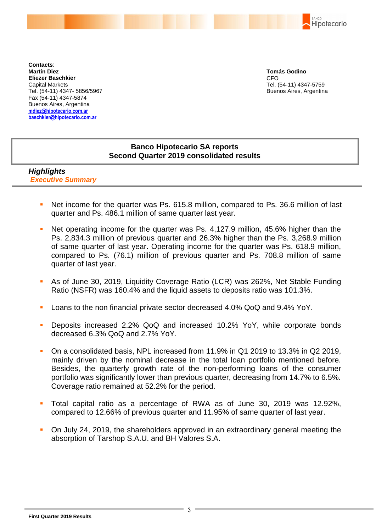BANCO Hipotecario

**Contacts**: **Martín Diez Eliezer Baschkier** Capital Markets Tel. (54-11) 4347- 5856/5967 Fax (54-11) 4347-5874 Buenos Aires, Argentina **mdiez@hipotecario.com.ar [baschkier@hipotecario.com.ar](mailto:baschkier@hipotecario.com.ar)**

**Tomás Godino** CFO Tel. (54-11) 4347-5759 Buenos Aires, Argentina

## **Banco Hipotecario SA reports Second Quarter 2019 consolidated results**

## *Highlights Executive Summary*

- Net income for the quarter was Ps. 615.8 million, compared to Ps. 36.6 million of last quarter and Ps. 486.1 million of same quarter last year.
- Net operating income for the quarter was Ps. 4,127.9 million, 45.6% higher than the Ps. 2,834.3 million of previous quarter and 26.3% higher than the Ps. 3,268.9 million of same quarter of last year. Operating income for the quarter was Ps. 618.9 million, compared to Ps. (76.1) million of previous quarter and Ps. 708.8 million of same quarter of last year.
- As of June 30, 2019, Liquidity Coverage Ratio (LCR) was 262%, Net Stable Funding Ratio (NSFR) was 160.4% and the liquid assets to deposits ratio was 101.3%.
- Loans to the non financial private sector decreased 4.0% QoQ and 9.4% YoY.
- Deposits increased 2.2% QoQ and increased 10.2% YoY, while corporate bonds decreased 6.3% QoQ and 2.7% YoY.
- On a consolidated basis, NPL increased from 11.9% in Q1 2019 to 13.3% in Q2 2019, mainly driven by the nominal decrease in the total loan portfolio mentioned before. Besides, the quarterly growth rate of the non-performing loans of the consumer portfolio was significantly lower than previous quarter, decreasing from 14.7% to 6.5%. Coverage ratio remained at 52.2% for the period.
- Total capital ratio as a percentage of RWA as of June 30, 2019 was 12.92%, compared to 12.66% of previous quarter and 11.95% of same quarter of last year.
- On July 24, 2019, the shareholders approved in an extraordinary general meeting the absorption of Tarshop S.A.U. and BH Valores S.A.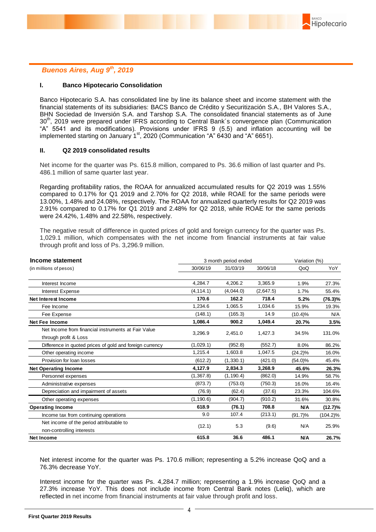### *Buenos Aires, Aug 9 th, 2019*

#### **I. Banco Hipotecario Consolidation**

Banco Hipotecario S.A. has consolidated line by line its balance sheet and income statement with the financial statements of its subsidiaries: BACS Banco de Crédito y Securitización S.A., BH Valores S.A., BHN Sociedad de Inversión S.A. and Tarshop S.A. The consolidated financial statements as of June 30<sup>th</sup>, 2019 were prepared under IFRS according to Central Bank's convergence plan (Communication "A" 5541 and its modifications). Provisions under IFRS 9 (5.5) and inflation accounting will be implemented starting on January  $1<sup>st</sup>$ , 2020 (Communication "A"  $6430$  and "A" 6651).

#### **II. Q2 2019 consolidated results**

Net income for the quarter was Ps. 615.8 million, compared to Ps. 36.6 million of last quarter and Ps. 486.1 million of same quarter last year.

Regarding profitability ratios, the ROAA for annualized accumulated results for Q2 2019 was 1.55% compared to 0.17% for Q1 2019 and 2.70% for Q2 2018, while ROAE for the same periods were 13.00%, 1.48% and 24.08%, respectively. The ROAA for annualized quarterly results for Q2 2019 was 2.91% compared to 0.17% for Q1 2019 and 2.48% for Q2 2018, while ROAE for the same periods were 24.42%, 1.48% and 22.58%, respectively.

The negative result of difference in quoted prices of gold and foreign currency for the quarter was Ps. 1,029.1 million, which compensates with the net income from financial instruments at fair value through profit and loss of Ps. 3,296.9 million.

| Income statement                                                             |            | 3 month period ended | Variation (%) |            |             |
|------------------------------------------------------------------------------|------------|----------------------|---------------|------------|-------------|
| (in millions of pesos)                                                       | 30/06/19   | 31/03/19             | 30/06/18      | QoQ        | YoY         |
| Interest Income                                                              | 4,284.7    | 4,206.2              | 3,365.9       | 1.9%       | 27.3%       |
| Interest Expense                                                             | (4, 114.1) | (4,044.0)            | (2,647.5)     | 1.7%       | 55.4%       |
| <b>Net Interest Income</b>                                                   | 170.6      | 162.2                | 718.4         | 5.2%       | (76.3)%     |
| Fee Income                                                                   | 1,234.6    | 1,065.5              | 1,034.6       | 15.9%      | 19.3%       |
| Fee Expense                                                                  | (148.1)    | (165.3)              | 14.9          | $(10.4)\%$ | N/A         |
| <b>Net Fee Income</b>                                                        | 1.086.4    | 900.2                | 1.049.4       | 20.7%      | 3.5%        |
| Net Income from financial instruments at Fair Value<br>through profit & Loss | 3,296.9    | 2,451.0              | 1,427.3       | 34.5%      | 131.0%      |
| Difference in quoted prices of gold and foreign currency                     | (1,029.1)  | (952.8)              | (552.7)       | 8.0%       | 86.2%       |
| Other operating income                                                       | 1.215.4    | 1,603.8              | 1,047.5       | $(24.2)\%$ | 16.0%       |
| Provision for loan losses                                                    | (612.2)    | (1,330.1)            | (421.0)       | $(54.0)\%$ | 45.4%       |
| <b>Net Operating Income</b>                                                  | 4,127.9    | 2,834.3              | 3,268.9       | 45.6%      | 26.3%       |
| Personnel expenses                                                           | (1,367.8)  | (1, 190.4)           | (862.0)       | 14.9%      | 58.7%       |
| Administrative expenses                                                      | (873.7)    | (753.0)              | (750.3)       | 16.0%      | 16.4%       |
| Depreciation and impairment of assets                                        | (76.9)     | (62.4)               | (37.6)        | 23.3%      | 104.6%      |
| Other operating expenses                                                     | (1, 190.6) | (904.7)              | (910.2)       | 31.6%      | 30.8%       |
| <b>Operating Income</b>                                                      | 618.9      | (76.1)               | 708.8         | N/A        | (12.7)%     |
| Income tax from continuing operations                                        | 9.0        | 107.4                | (213.1)       | $(91.7)\%$ | $(104.2)\%$ |
| Net income of the period attributable to<br>non-controlling interests        | (12.1)     | 5.3                  | (9.6)         | N/A        | 25.9%       |
| <b>Net Income</b>                                                            | 615.8      | 36.6                 | 486.1         | N/A        | 26.7%       |

Net interest income for the quarter was Ps. 170.6 million; representing a 5.2% increase QoQ and a 76.3% decrease YoY.

Interest income for the quarter was Ps. 4,284.7 million; representing a 1.9% increase QoQ and a 27.3% increase YoY. This does not include income from Central Bank notes (Leliq), which are reflected in net income from financial instruments at fair value through profit and loss.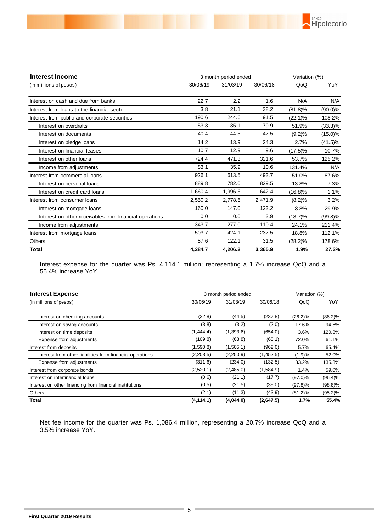

| <b>Interest Income</b>                                  | Variation (%) |          |          |            |            |
|---------------------------------------------------------|---------------|----------|----------|------------|------------|
| (in millions of pesos)                                  | 30/06/19      | 31/03/19 | 30/06/18 | QoQ        | YoY        |
| Interest on cash and due from banks                     | 22.7          | 2.2      | 1.6      | N/A        | N/A        |
| Interest from loans to the financial sector             | 3.8           | 21.1     | 38.2     | $(81.8)\%$ | $(90.0)\%$ |
| Interest from public and corporate securities           | 190.6         | 244.6    | 91.5     | $(22.1)\%$ | 108.2%     |
| Interest on overdrafts                                  | 53.3          | 35.1     | 79.9     | 51.9%      | $(33.3)\%$ |
| Interest on documents                                   | 40.4          | 44.5     | 47.5     | (9.2)%     | $(15.0)\%$ |
| Interest on pledge loans                                | 14.2          | 13.9     | 24.3     | 2.7%       | $(41.5)\%$ |
| Interest on financial leases                            | 10.7          | 12.9     | 9.6      | $(17.5)\%$ | 10.7%      |
| Interest on other loans                                 | 724.4         | 471.3    | 321.6    | 53.7%      | 125.2%     |
| Income from adjustments                                 | 83.1          | 35.9     | 10.6     | 131.4%     | N/A        |
| Interest from commercial loans                          | 926.1         | 613.5    | 493.7    | 51.0%      | 87.6%      |
| Interest on personal loans                              | 889.8         | 782.0    | 829.5    | 13.8%      | 7.3%       |
| Interest on credit card loans                           | 1,660.4       | 1,996.6  | 1,642.4  | $(16.8)\%$ | 1.1%       |
| Interest from consumer loans                            | 2,550.2       | 2,778.6  | 2,471.9  | (8.2)%     | 3.2%       |
| Interest on mortgage loans                              | 160.0         | 147.0    | 123.2    | 8.8%       | 29.9%      |
| Interest on other receivables from financial operations | 0.0           | 0.0      | 3.9      | $(18.7)\%$ | $(99.8)\%$ |
| Income from adjustments                                 | 343.7         | 277.0    | 110.4    | 24.1%      | 211.4%     |
| Interest from mortgage loans                            | 503.7         | 424.1    | 237.5    | 18.8%      | 112.1%     |
| <b>Others</b>                                           | 87.6          | 122.1    | 31.5     | $(28.2)\%$ | 178.6%     |
| Total                                                   | 4,284.7       | 4,206.2  | 3,365.9  | 1.9%       | 27.3%      |

Interest expense for the quarter was Ps. 4,114.1 million; representing a 1.7% increase QoQ and a 55.4% increase YoY.

| <b>Interest Expense</b>                                   | 3 month period ended | Variation (%) |           |            |            |
|-----------------------------------------------------------|----------------------|---------------|-----------|------------|------------|
| (in millions of pesos)                                    | 30/06/19             | 31/03/19      | 30/06/18  | QoQ        | YoY        |
|                                                           |                      |               |           |            |            |
| Interest on checking accounts                             | (32.8)               | (44.5)        | (237.8)   | $(26.2)\%$ | $(86.2)\%$ |
| Interest on saving accounts                               | (3.8)                | (3.2)         | (2.0)     | 17.6%      | 94.6%      |
| Interest on time deposits                                 | (1,444.4)            | (1,393.6)     | (654.0)   | 3.6%       | 120.8%     |
| Expense from adjustments                                  | (109.8)              | (63.8)        | (68.1)    | 72.0%      | 61.1%      |
| Interest from deposits                                    | (1,590.8)            | (1,505.1)     | (962.0)   | 5.7%       | 65.4%      |
| Interest from other liabilities from financial operations | (2,208.5)            | (2,250.9)     | (1,452.5) | (1.9)%     | 52.0%      |
| Expense from adjustments                                  | (311.6)              | (234.0)       | (132.5)   | 33.2%      | 135.3%     |
| Interest from corporate bonds                             | (2,520.1)            | (2,485.0)     | (1,584.9) | 1.4%       | 59.0%      |
| Interest on interfinancial loans                          | (0.6)                | (21.1)        | (17.7)    | $(97.0)\%$ | $(96.4)\%$ |
| Interest on other financing from financial institutions   | (0.5)                | (21.5)        | (39.0)    | (97.8)%    | $(98.8)\%$ |
| Others                                                    | (2.1)                | (11.3)        | (43.9)    | $(81.2)\%$ | $(95.2)\%$ |
| Total                                                     | (4, 114.1)           | (4,044.0)     | (2,647.5) | 1.7%       | 55.4%      |

Net fee income for the quarter was Ps. 1,086.4 million, representing a 20.7% increase QoQ and a 3.5% increase YoY.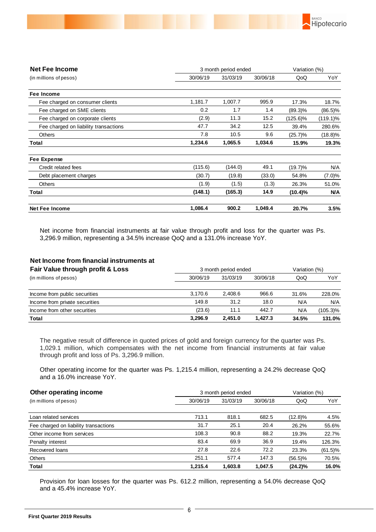

| <b>Net Fee Income</b>                                                                                                                                                                                                                                                                                                                                                                                                     | 3 month period ended |                      |          | Variation (%) |                                                |  |
|---------------------------------------------------------------------------------------------------------------------------------------------------------------------------------------------------------------------------------------------------------------------------------------------------------------------------------------------------------------------------------------------------------------------------|----------------------|----------------------|----------|---------------|------------------------------------------------|--|
| (in millions of pesos)                                                                                                                                                                                                                                                                                                                                                                                                    | 30/06/19             | 31/03/19             | 30/06/18 | QoQ           | YoY                                            |  |
| Fee Income                                                                                                                                                                                                                                                                                                                                                                                                                |                      |                      |          |               |                                                |  |
| Fee charged on consumer clients                                                                                                                                                                                                                                                                                                                                                                                           | 1,181.7              | 1,007.7              | 995.9    | 17.3%         | 18.7%                                          |  |
| Fee charged on SME clients                                                                                                                                                                                                                                                                                                                                                                                                | 0.2                  | 1.7                  | 1.4      | $(89.3)\%$    | $(86.5)\%$                                     |  |
| Fee charged on corporate clients                                                                                                                                                                                                                                                                                                                                                                                          | (2.9)                | 11.3                 | 15.2     | $(125.6)\%$   | $(119.1)\%$                                    |  |
| Fee charged on liability transactions                                                                                                                                                                                                                                                                                                                                                                                     | 47.7                 | 34.2                 | 12.5     | 39.4%         | 280.6%                                         |  |
| Others                                                                                                                                                                                                                                                                                                                                                                                                                    | 7.8                  | 10.5                 | 9.6      | $(25.7)\%$    | $(18.8)\%$                                     |  |
| Total                                                                                                                                                                                                                                                                                                                                                                                                                     | 1,234.6              | 1,065.5              | 1,034.6  | 15.9%         | 19.3%                                          |  |
| <b>Fee Expense</b>                                                                                                                                                                                                                                                                                                                                                                                                        |                      |                      |          |               |                                                |  |
| Credit related fees                                                                                                                                                                                                                                                                                                                                                                                                       | (115.6)              | (144.0)              | 49.1     | $(19.7)\%$    | N/A                                            |  |
| Debt placement charges                                                                                                                                                                                                                                                                                                                                                                                                    | (30.7)               | (19.8)               | (33.0)   | 54.8%         | $(7.0)\%$                                      |  |
| Others                                                                                                                                                                                                                                                                                                                                                                                                                    | (1.9)                | (1.5)                | (1.3)    | 26.3%         | 51.0%                                          |  |
| Total                                                                                                                                                                                                                                                                                                                                                                                                                     | (148.1)              | (165.3)              | 14.9     | $(10.4)\%$    | <b>N/A</b>                                     |  |
| <b>Net Fee Income</b>                                                                                                                                                                                                                                                                                                                                                                                                     | 1,086.4              | 900.2                | 1,049.4  | 20.7%         | 3.5%                                           |  |
| 3,296.9 million, representing a 34.5% increase QoQ and a 131.0% increase YoY.                                                                                                                                                                                                                                                                                                                                             |                      |                      |          |               |                                                |  |
|                                                                                                                                                                                                                                                                                                                                                                                                                           |                      |                      |          |               |                                                |  |
| Net Income from financial instruments at                                                                                                                                                                                                                                                                                                                                                                                  |                      |                      |          |               |                                                |  |
| Fair Value through profit & Loss                                                                                                                                                                                                                                                                                                                                                                                          |                      | 3 month period ended |          | Variation (%) |                                                |  |
| (in millions of pesos)                                                                                                                                                                                                                                                                                                                                                                                                    | 30/06/19             | 31/03/19             | 30/06/18 | QoQ           | YoY                                            |  |
| Income from public securities                                                                                                                                                                                                                                                                                                                                                                                             | 3,170.6              | 2,408.6              | 966.6    | 31.6%         |                                                |  |
| Income from private securities                                                                                                                                                                                                                                                                                                                                                                                            | 149.8                | 31.2                 | 18.0     | N/A           |                                                |  |
| Income from other securities                                                                                                                                                                                                                                                                                                                                                                                              | (23.6)               | 11.1                 | 442.7    | N/A           | 228.0%<br>N/A<br>$(105.3)\%$                   |  |
| Total                                                                                                                                                                                                                                                                                                                                                                                                                     | 3,296.9              | 2,451.0              | 1,427.3  | 34.5%         |                                                |  |
| The negative result of difference in quoted prices of gold and foreign currency for the quarter was Ps.<br>1,029.1 million, which compensates with the net income from financial instruments at fair value<br>through profit and loss of Ps. 3,296.9 million.<br>Other operating income for the quarter was Ps. 1,215.4 million, representing a 24.2% decrease QoQ<br>and a 16.0% increase YoY.<br>Other operating income |                      | 3 month period ended |          | Variation (%) |                                                |  |
| (in millions of pesos)                                                                                                                                                                                                                                                                                                                                                                                                    | 30/06/19             | 31/03/19             | 30/06/18 | QoQ           | 131.0%<br>YoY                                  |  |
| Loan related services                                                                                                                                                                                                                                                                                                                                                                                                     | 713.1                | 818.1                | 682.5    | $(12.8)\%$    |                                                |  |
| Fee charged on liability transactions                                                                                                                                                                                                                                                                                                                                                                                     | 31.7                 | 25.1                 | 20.4     | 26.2%         |                                                |  |
| Other income from services                                                                                                                                                                                                                                                                                                                                                                                                | 108.3                | 90.8                 | 88.2     | 19.3%         |                                                |  |
| Penalty interest                                                                                                                                                                                                                                                                                                                                                                                                          | 83.4                 | 69.9                 | 36.9     | 19.4%         |                                                |  |
| Recovered loans                                                                                                                                                                                                                                                                                                                                                                                                           | 27.8                 | 22.6                 | 72.2     | 23.3%         | 4.5%<br>55.6%<br>22.7%<br>126.3%<br>$(61.5)\%$ |  |
| Others                                                                                                                                                                                                                                                                                                                                                                                                                    | 251.1                | 577.4                | 147.3    | $(56.5)\%$    | 70.5%                                          |  |

#### **Net Income from financial instruments at**

| Fair Value through profit & Loss | 3 month period ended |                  |          |       | Variation (%) |  |
|----------------------------------|----------------------|------------------|----------|-------|---------------|--|
| (in millions of pesos)           | 30/06/19             | 31/03/19         | 30/06/18 | QoQ   | YoY           |  |
| Income from public securities    | 3.170.6              | 2.408.6<br>966.6 |          | 31.6% | 228.0%        |  |
| Income from private securities   | 149.8                | 31.2             | 18.0     | N/A   | N/A           |  |
| Income from other securities     | (23.6)               | 11.1             | 442.7    | N/A   | (105.3)%      |  |
| Total                            | 3.296.9              | 2.451.0          | 1.427.3  | 34.5% | 131.0%        |  |

| Other operating income<br>3 month period ended |          |          |          | Variation (%) |            |  |  |
|------------------------------------------------|----------|----------|----------|---------------|------------|--|--|
| (in millions of pesos)                         | 30/06/19 | 31/03/19 | 30/06/18 | QoQ           | YoY        |  |  |
|                                                |          |          |          |               |            |  |  |
| Loan related services                          | 713.1    | 818.1    | 682.5    | (12.8)%       | 4.5%       |  |  |
| Fee charged on liability transactions          | 31.7     | 25.1     | 20.4     | 26.2%         | 55.6%      |  |  |
| Other income from services                     | 108.3    | 90.8     | 88.2     | 19.3%         | 22.7%      |  |  |
| Penalty interest                               | 83.4     | 69.9     | 36.9     | 19.4%         | 126.3%     |  |  |
| Recovered Ioans                                | 27.8     | 22.6     | 72.2     | 23.3%         | $(61.5)\%$ |  |  |
| <b>Others</b>                                  | 251.1    | 577.4    | 147.3    | $(56.5)\%$    | 70.5%      |  |  |
| Total                                          | 1.215.4  | 1,603.8  | 1,047.5  | (24.2)%       | 16.0%      |  |  |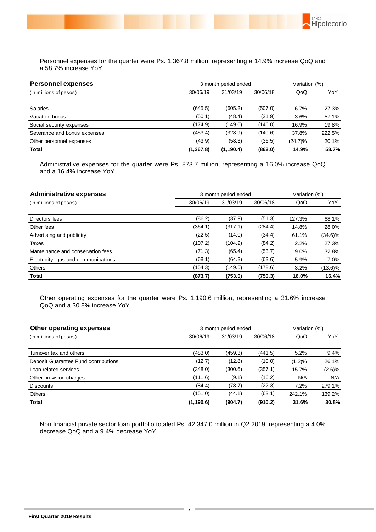

Personnel expenses for the quarter were Ps. 1,367.8 million, representing a 14.9% increase QoQ and a 58.7% increase YoY.

| <b>Personnel expenses</b>    |            | 3 month period ended |          |            |        |
|------------------------------|------------|----------------------|----------|------------|--------|
| (in millions of pesos)       | 30/06/19   | 31/03/19             | 30/06/18 | QoQ        | YoY    |
| <b>Salaries</b>              | (645.5)    | (605.2)              | (507.0)  | 6.7%       | 27.3%  |
| Vacation bonus               | (50.1)     | (48.4)               | (31.9)   | 3.6%       | 57.1%  |
| Social security expenses     | (174.9)    | (149.6)              | (146.0)  | 16.9%      | 19.8%  |
| Severance and bonus expenses | (453.4)    | (328.9)              | (140.6)  | 37.8%      | 222.5% |
| Other personnel expenses     | (43.9)     | (58.3)               | (36.5)   | $(24.7)\%$ | 20.1%  |
| Total                        | (1, 367.8) | (1, 190.4)           | (862.0)  | 14.9%      | 58.7%  |

Administrative expenses for the quarter were Ps. 873.7 million, representing a 16.0% increase QoQ and a 16.4% increase YoY.

| <b>Administrative expenses</b>      |          | 3 month period ended |          |        |            |
|-------------------------------------|----------|----------------------|----------|--------|------------|
| (in millions of pesos)              | 30/06/19 | 31/03/19             | 30/06/18 | QoQ    | YoY        |
|                                     |          |                      |          |        |            |
| Directors fees                      | (86.2)   | (37.9)               | (51.3)   | 127.3% | 68.1%      |
| Other fees                          | (364.1)  | (317.1)              | (284.4)  | 14.8%  | 28.0%      |
| Advertising and publicity           | (22.5)   | (14.0)               | (34.4)   | 61.1%  | $(34.6)\%$ |
| Taxes                               | (107.2)  | (104.9)              | (84.2)   | 2.2%   | 27.3%      |
| Manteinance and conservation fees   | (71.3)   | (65.4)               | (53.7)   | 9.0%   | 32.8%      |
| Electricity, gas and communications | (68.1)   | (64.3)               | (63.6)   | 5.9%   | 7.0%       |
| <b>Others</b>                       | (154.3)  | (149.5)              | (178.6)  | 3.2%   | $(13.6)\%$ |
| Total                               | (873.7)  | (753.0)              | (750.3)  | 16.0%  | 16.4%      |

Other operating expenses for the quarter were Ps. 1,190.6 million, representing a 31.6% increase QoQ and a 30.8% increase YoY.

| Other operating expenses             | 3 month period ended | Variation (%)    |          |           |           |
|--------------------------------------|----------------------|------------------|----------|-----------|-----------|
| (in millions of pesos)               | 30/06/19             | 31/03/19         | 30/06/18 | QoQ       | YoY       |
|                                      |                      |                  |          |           |           |
| Turnover tax and others              | (483.0)              | (459.3)          | (441.5)  | 5.2%      | 9.4%      |
| Deposit Guarantee Fund contributions | (12.7)               | (12.8)<br>(10.0) |          | $(1.2)\%$ | 26.1%     |
| Loan related services                | (348.0)              | (300.6)          | (357.1)  | 15.7%     | $(2.6)\%$ |
| Other provision charges              | (111.6)              | (9.1)            | (16.2)   | N/A       | N/A       |
| <b>Discounts</b>                     | (84.4)               | (78.7)           | (22.3)   | 7.2%      | 279.1%    |
| <b>Others</b>                        | (151.0)              | (44.1)           | (63.1)   | 242.1%    | 139.2%    |
| Total                                | (1, 190.6)           | (904.7)          | (910.2)  | 31.6%     | 30.8%     |

Non financial private sector loan portfolio totaled Ps. 42,347.0 million in Q2 2019; representing a 4.0% decrease QoQ and a 9.4% decrease YoY.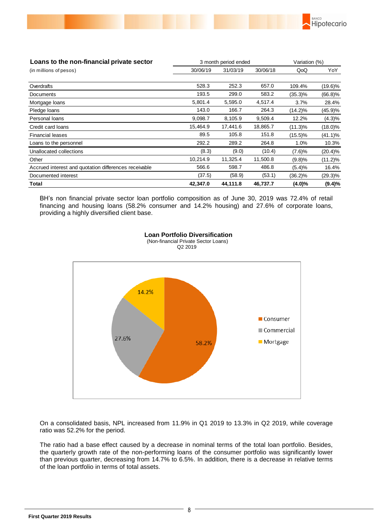

| Loans to the non-financial private sector             |          | 3 month period ended |          | Variation (%) |            |  |
|-------------------------------------------------------|----------|----------------------|----------|---------------|------------|--|
| (in millions of pesos)                                | 30/06/19 | 31/03/19             | 30/06/18 | QoQ           | YoY        |  |
|                                                       |          |                      |          |               |            |  |
| Overdrafts                                            | 528.3    | 252.3                | 657.0    | 109.4%        | $(19.6)\%$ |  |
| Documents                                             | 193.5    | 299.0                | 583.2    | $(35.3)\%$    | $(66.8)\%$ |  |
| Mortgage loans                                        | 5,801.4  | 5,595.0              | 4,517.4  | 3.7%          | 28.4%      |  |
| Pledge loans                                          | 143.0    | 166.7                | 264.3    | (14.2)%       | (45.9)%    |  |
| Personal loans                                        | 9,098.7  | 8,105.9              | 9,509.4  | 12.2%         | (4.3)%     |  |
| Credit card loans                                     | 15,464.9 | 17,441.6             | 18,865.7 | $(11.3)\%$    | $(18.0)\%$ |  |
| <b>Financial leases</b>                               | 89.5     | 105.8                | 151.8    | $(15.5)\%$    | $(41.1)\%$ |  |
| Loans to the personnel                                | 292.2    | 289.2                | 264.8    | 1.0%          | 10.3%      |  |
| Unallocated collections                               | (8.3)    | (9.0)                | (10.4)   | (7.6)%        | $(20.4)\%$ |  |
| Other                                                 | 10,214.9 | 11,325.4             | 11,500.8 | (9.8)%        | $(11.2)\%$ |  |
| Accrued interest and quotation differences receivable | 566.6    | 598.7                | 486.8    | (5.4)%        | 16.4%      |  |
| Documented interest                                   | (37.5)   | (58.9)               | (53.1)   | $(36.2)\%$    | $(29.3)\%$ |  |
| Total                                                 | 42,347.0 | 44.111.8             | 46.737.7 | $(4.0)\%$     | (9.4)%     |  |

BH's non financial private sector loan portfolio composition as of June 30, 2019 was 72.4% of retail financing and housing loans (58.2% consumer and 14.2% housing) and 27.6% of corporate loans, providing a highly diversified client base.



 **Loan Portfolio Diversification** (Non-financial Private Sector Loans) Q2 2019

On a consolidated basis, NPL increased from 11.9% in Q1 2019 to 13.3% in Q2 2019, while coverage ratio was 52.2% for the period.

The ratio had a base effect caused by a decrease in nominal terms of the total loan portfolio. Besides, the quarterly growth rate of the non-performing loans of the consumer portfolio was significantly lower than previous quarter, decreasing from 14.7% to 6.5%. In addition, there is a decrease in relative terms of the loan portfolio in terms of total assets.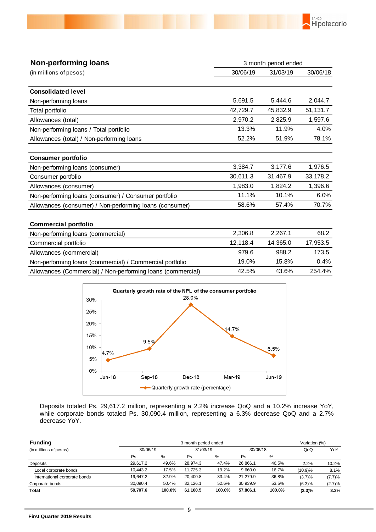

| <b>Non-performing loans</b>                                 | 3 month period ended |          |          |  |  |
|-------------------------------------------------------------|----------------------|----------|----------|--|--|
| (in millions of pesos)                                      | 30/06/19             | 31/03/19 | 30/06/18 |  |  |
| <b>Consolidated level</b>                                   |                      |          |          |  |  |
| Non-performing loans                                        | 5,691.5              | 5,444.6  | 2,044.7  |  |  |
| Total portfolio                                             | 42,729.7             | 45,832.9 | 51,131.7 |  |  |
| Allowances (total)                                          | 2,970.2              | 2,825.9  | 1,597.6  |  |  |
| Non-performing loans / Total portfolio                      | 13.3%                | 11.9%    | 4.0%     |  |  |
| Allowances (total) / Non-performing loans                   | 52.2%                | 51.9%    | 78.1%    |  |  |
| <b>Consumer portfolio</b>                                   |                      |          |          |  |  |
| Non-performing loans (consumer)                             | 3,384.7              | 3,177.6  | 1,976.5  |  |  |
| Consumer portfolio                                          | 30,611.3             | 31,467.9 | 33,178.2 |  |  |
| Allowances (consumer)                                       | 1,983.0              | 1,824.2  | 1,396.6  |  |  |
| Non-performing loans (consumer) / Consumer portfolio        | 11.1%                | 10.1%    | 6.0%     |  |  |
| Allowances (consumer) / Non-performing loans (consumer)     | 58.6%                | 57.4%    | 70.7%    |  |  |
| <b>Commercial portfolio</b>                                 |                      |          |          |  |  |
| Non-performing loans (commercial)                           | 2,306.8              | 2,267.1  | 68.2     |  |  |
| Commercial portfolio                                        | 12,118.4             | 14,365.0 | 17,953.5 |  |  |
| Allowances (commercial)                                     | 979.6                | 988.2    | 173.5    |  |  |
| Non-performing loans (commercial) / Commercial portfolio    | 19.0%                | 15.8%    | 0.4%     |  |  |
| Allowances (Commercial) / Non-performing loans (commercial) | 42.5%                | 43.6%    | 254.4%   |  |  |



Deposits totaled Ps. 29,617.2 million, representing a 2.2% increase QoQ and a 10.2% increase YoY, while corporate bonds totaled Ps. 30,090.4 million, representing a 6.3% decrease QoQ and a 2.7% decrease YoY.

| <b>Funding</b>                | 3 month period ended |        |          |        |          |        |           | Variation (%) |
|-------------------------------|----------------------|--------|----------|--------|----------|--------|-----------|---------------|
| (in millions of pesos)        | 30/06/19             |        | 31/03/19 |        | 30/06/18 |        | QoQ       | YoY           |
|                               | Ps.                  | %      | Ps.      | $\%$   | Ps.      | %      |           |               |
| Deposits                      | 29.617.2             | 49.6%  | 28.974.3 | 47.4%  | 26.866.1 | 46.5%  | 2.2%      | 10.2%         |
| Local corporate bonds         | 10.443.2             | 17.5%  | 11.725.3 | 19.2%  | 9,660.0  | 16.7%  | (10.9)%   | 8.1%          |
| International corporate bonds | 19.647.2             | 32.9%  | 20.400.8 | 33.4%  | 21.279.9 | 36.8%  | (3.7)%    | (7.7)%        |
| Corporate bonds               | 30.090.4             | 50.4%  | 32.126.1 | 52.6%  | 30.939.9 | 53.5%  | (6.3)%    | (2.7)%        |
| <b>Total</b>                  | 59.707.6             | 100.0% | 61.100.5 | 100.0% | 57.806.1 | 100.0% | $(2.3)\%$ | 3.3%          |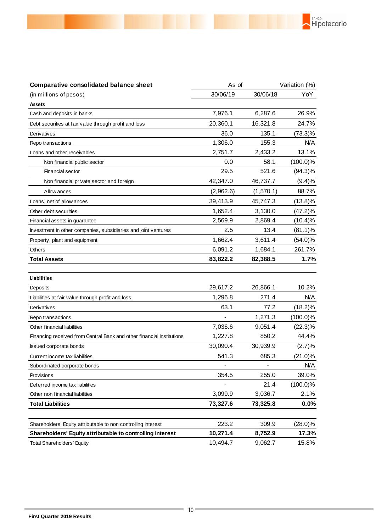

BANCO

Hipotecario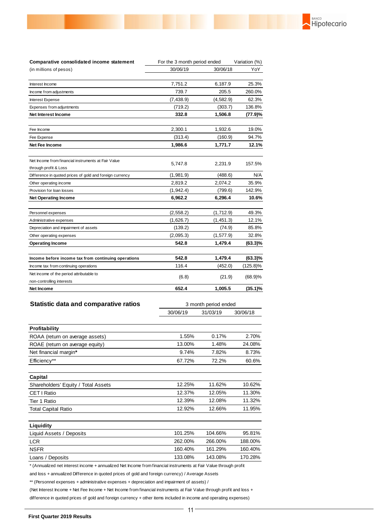| Comparative consolidated income statement                | For the 3 month period ended |            | Variation (%) |  |
|----------------------------------------------------------|------------------------------|------------|---------------|--|
| (in millions of pesos)                                   | 30/06/19                     | 30/06/18   | YoY           |  |
| Interest Income                                          | 7,751.2                      | 6,187.9    | 25.3%         |  |
| Income from adjustments                                  | 739.7                        | 205.5      | 260.0%        |  |
| Interest Expense                                         | (7, 438.9)                   | (4, 582.9) | 62.3%         |  |
| Expenses from adjuntments                                | (719.2)                      | (303.7)    | 136.8%        |  |
| Net Interest Income                                      | 332.8                        | 1,506.8    | (77.9)%       |  |
| Fee Income                                               | 2,300.1                      | 1,932.6    | 19.0%         |  |
| Fee Expense                                              | (313.4)                      | (160.9)    | 94.7%         |  |
| Net Fee Income                                           | 1,986.6                      | 1,771.7    | 12.1%         |  |
| Net Income from financial instruments at Fair Value      | 5,747.8                      | 2,231.9    | 157.5%        |  |
| through profit & Loss                                    |                              |            |               |  |
| Difference in quoted prices of gold and foreign currency | (1,981.9)                    | (488.6)    | N/A           |  |
| Other operating income                                   | 2,819.2                      | 2,074.2    | 35.9%         |  |
| Provision for loan losses                                | (1, 942.4)                   | (799.6)    | 142.9%        |  |
| <b>Net Operating Income</b>                              | 6,962.2                      | 6,296.4    | 10.6%         |  |
| Personnel expenses                                       | (2, 558.2)                   | (1,712.9)  | 49.3%         |  |
| Administrative expenses                                  | (1,626.7)                    | (1,451.3)  | 12.1%         |  |
| Depreciation and impairment of assets                    | (139.2)                      | (74.9)     | 85.8%         |  |
| Other operating expenses                                 | (2,095.3)                    | (1, 577.9) | 32.8%         |  |
| <b>Operating Income</b>                                  | 542.8                        | 1,479.4    | (63.3)%       |  |
| Income before income tax from continuing operations      | 542.8                        | 1,479.4    | $(63.3)\%$    |  |
| Income tax from continuing operations                    | 116.4                        | (452.0)    | (125.8)%      |  |
| Net income of the period attributable to                 | (6.8)                        | (21.9)     | $(68.9)\%$    |  |
| non-controlling interests                                |                              |            |               |  |
| Net Income                                               | 652.4                        | 1,005.5    | (35.1)%       |  |

**BANCO**<br>Hipotecario

| <b>Statistic data and comparative ratios</b> | 3 month period ended |          |          |
|----------------------------------------------|----------------------|----------|----------|
|                                              | 30/06/19             | 31/03/19 | 30/06/18 |
| Profitability                                |                      |          |          |
| ROAA (return on average assets)              | 1.55%                | 0.17%    | 2.70%    |
| ROAE (return on average equity)              | 13.00%               | 1.48%    | 24.08%   |
| Net financial margin*                        | 9.74%                | 7.82%    | 8.73%    |
| Efficiency**                                 | 67.72%               | 72.2%    | 60.6%    |
| Capital                                      |                      |          |          |
| Shareholders' Equity / Total Assets          | 12.25%               | 11.62%   | 10.62%   |
| CET   Ratio                                  | 12.37%               | 12.05%   | 11.30%   |
| Tier 1 Ratio                                 | 12.39%               | 12.08%   | 11.32%   |
| <b>Total Capital Ratio</b>                   | 12.92%               | 12.66%   | 11.95%   |
| Liquidity                                    |                      |          |          |
| Liquid Assets / Deposits                     | 101.25%              | 104.66%  | 95.81%   |
| <b>LCR</b>                                   | 262.00%              | 266.00%  | 188.00%  |
| <b>NSFR</b>                                  | 160.40%              | 161.29%  | 160.40%  |
| Loans / Deposits                             | 133.08%              | 143.08%  | 170.28%  |

\* (Annualized net interest income + annualized Net Income from financial instruments at Fair Value through profit

and loss + annualized Difference in quoted prices of gold and foreign currency) / Average Assets

\*\* (Personnel expenses + administrative expenses + depreciation and impairment of assets) /

(Net Interest Income + Net Fee Income + Net Income from financial instruments at Fair Value through profit and loss +